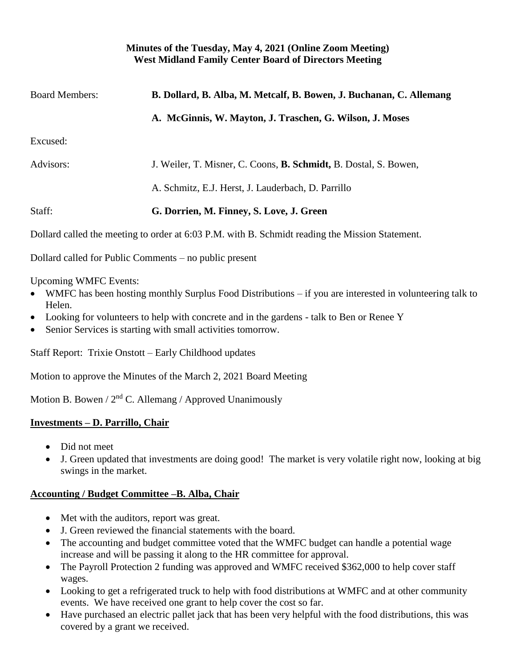### **Minutes of the Tuesday, May 4, 2021 (Online Zoom Meeting) West Midland Family Center Board of Directors Meeting**

| <b>Board Members:</b> | B. Dollard, B. Alba, M. Metcalf, B. Bowen, J. Buchanan, C. Allemang      |
|-----------------------|--------------------------------------------------------------------------|
|                       | A. McGinnis, W. Mayton, J. Traschen, G. Wilson, J. Moses                 |
| Excused:              |                                                                          |
| Advisors:             | J. Weiler, T. Misner, C. Coons, <b>B. Schmidt</b> , B. Dostal, S. Bowen, |
|                       | A. Schmitz, E.J. Herst, J. Lauderbach, D. Parrillo                       |
| Staff:                | G. Dorrien, M. Finney, S. Love, J. Green                                 |
|                       |                                                                          |

Dollard called the meeting to order at 6:03 P.M. with B. Schmidt reading the Mission Statement.

Dollard called for Public Comments – no public present

Upcoming WMFC Events:

- WMFC has been hosting monthly Surplus Food Distributions if you are interested in volunteering talk to Helen.
- Looking for volunteers to help with concrete and in the gardens talk to Ben or Renee Y
- Senior Services is starting with small activities tomorrow.

Staff Report: Trixie Onstott – Early Childhood updates

Motion to approve the Minutes of the March 2, 2021 Board Meeting

Motion B. Bowen /  $2<sup>nd</sup>$  C. Allemang / Approved Unanimously

## **Investments – D. Parrillo, Chair**

- Did not meet
- J. Green updated that investments are doing good! The market is very volatile right now, looking at big swings in the market.

# **Accounting / Budget Committee –B. Alba, Chair**

- Met with the auditors, report was great.
- J. Green reviewed the financial statements with the board.
- The accounting and budget committee voted that the WMFC budget can handle a potential wage increase and will be passing it along to the HR committee for approval.
- The Payroll Protection 2 funding was approved and WMFC received \$362,000 to help cover staff wages.
- Looking to get a refrigerated truck to help with food distributions at WMFC and at other community events. We have received one grant to help cover the cost so far.
- Have purchased an electric pallet jack that has been very helpful with the food distributions, this was covered by a grant we received.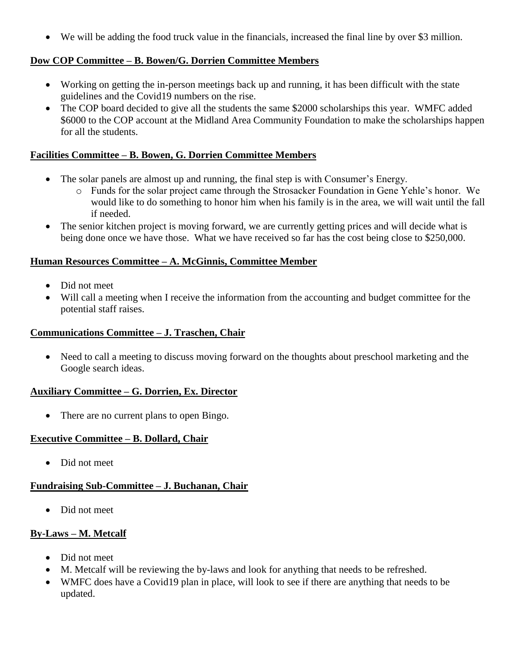• We will be adding the food truck value in the financials, increased the final line by over \$3 million.

## **Dow COP Committee – B. Bowen/G. Dorrien Committee Members**

- Working on getting the in-person meetings back up and running, it has been difficult with the state guidelines and the Covid19 numbers on the rise.
- The COP board decided to give all the students the same \$2000 scholarships this year. WMFC added \$6000 to the COP account at the Midland Area Community Foundation to make the scholarships happen for all the students.

### **Facilities Committee – B. Bowen, G. Dorrien Committee Members**

- The solar panels are almost up and running, the final step is with Consumer's Energy.
	- o Funds for the solar project came through the Strosacker Foundation in Gene Yehle's honor. We would like to do something to honor him when his family is in the area, we will wait until the fall if needed.
- The senior kitchen project is moving forward, we are currently getting prices and will decide what is being done once we have those. What we have received so far has the cost being close to \$250,000.

#### **Human Resources Committee – A. McGinnis, Committee Member**

- Did not meet
- Will call a meeting when I receive the information from the accounting and budget committee for the potential staff raises.

#### **Communications Committee – J. Traschen, Chair**

• Need to call a meeting to discuss moving forward on the thoughts about preschool marketing and the Google search ideas.

## **Auxiliary Committee – G. Dorrien, Ex. Director**

• There are no current plans to open Bingo.

#### **Executive Committee – B. Dollard, Chair**

• Did not meet

## **Fundraising Sub-Committee – J. Buchanan, Chair**

• Did not meet

## **By-Laws – M. Metcalf**

- Did not meet
- M. Metcalf will be reviewing the by-laws and look for anything that needs to be refreshed.
- WMFC does have a Covid19 plan in place, will look to see if there are anything that needs to be updated.